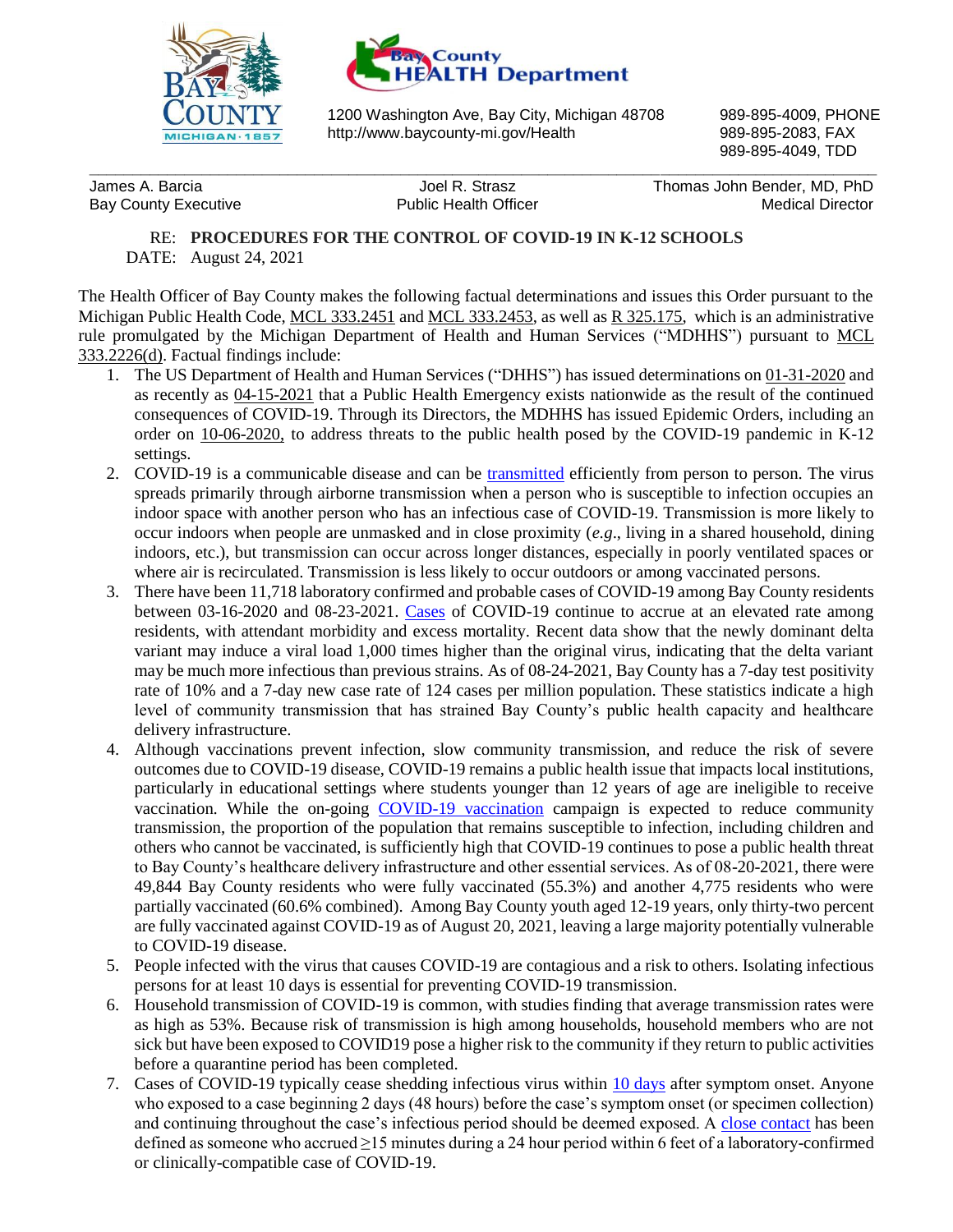



1200 Washington Ave, Bay City, Michigan 48708 989-895-4009, PHONE http://www.baycounty-mi.gov/Health 989-895-2083, FAX

**\_\_\_\_\_\_\_\_\_\_\_\_\_\_\_\_\_\_\_\_\_\_\_\_\_\_\_\_\_\_\_\_\_\_\_\_\_\_\_\_\_\_\_\_\_\_\_\_\_\_\_\_\_\_\_\_\_\_\_\_\_\_\_\_\_\_\_\_\_\_\_\_\_\_\_\_\_\_\_\_\_\_\_\_\_\_\_\_\_\_\_**

989-895-4049, TDD

James A. Barcia Joel R. Strasz Thomas John Bender, MD, PhD Bay County Executive **Medical Director** Public Health Officer **Medical Director** Medical Director

RE: **PROCEDURES FOR THE CONTROL OF COVID-19 IN K-12 SCHOOLS** DATE: August 24, 2021

The Health Officer of Bay County makes the following factual determinations and issues this Order pursuant to the Michigan Public Health Code, [MCL 333.2451](http://www.legislature.mi.gov/(S(rixuywdciddkfjtht1waswqz))/mileg.aspx?page=GetObject&objectname=mcl-333-2451) and [MCL 333.2453,](http://www.legislature.mi.gov/(S(brgarfjgo0bc3n2w0ti3bcnu))/mileg.aspx?page=GetObject&objectname=mcl-333-2453) as well as [R 325.175,](https://www.michigan.gov/documents/Communicable_Final_Rule_-_Signed_120104_110923_7.pdf) which is an administrative rule promulgated by the Michigan Department of Health and Human Services ("MDHHS") pursuant to [MCL](http://www.legislature.mi.gov/(S(2rtjy4sv4zlvmncpt5ssnmby))/mileg.aspx?page=GetObject&objectname=mcl-333-2226)  [333.2226\(d\).](http://www.legislature.mi.gov/(S(2rtjy4sv4zlvmncpt5ssnmby))/mileg.aspx?page=GetObject&objectname=mcl-333-2226) Factual findings include:

- 1. The US Department of Health and Human Services ("DHHS") has issued determinations on [01-31-2020](https://www.phe.gov/emergency/news/healthactions/phe/Pages/2019-nCoV.aspx) and as recently as [04-15-2021](https://www.phe.gov/emergency/news/healthactions/phe/Pages/COVID-15April2021.aspx) that a Public Health Emergency exists nationwide as the result of the continued consequences of COVID-19. Through its Directors, the MDHHS has issued Epidemic Orders, including an order on [10-06-2020,](https://www.michigan.gov/coronavirus/0,9753,7-406-98178_98455-541860--,00.html) to address threats to the public health posed by the COVID-19 pandemic in K-12 settings.
- 2. COVID-19 is a communicable disease and can be [transmitted](https://www.cdc.gov/coronavirus/2019-ncov/science/science-briefs/sars-cov-2-transmission.html) efficiently from person to person. The virus spreads primarily through airborne transmission when a person who is susceptible to infection occupies an indoor space with another person who has an infectious case of COVID-19. Transmission is more likely to occur indoors when people are unmasked and in close proximity (*e.g*., living in a shared household, dining indoors, etc.), but transmission can occur across longer distances, especially in poorly ventilated spaces or where air is recirculated. Transmission is less likely to occur outdoors or among vaccinated persons.
- 3. There have been 11,718 laboratory confirmed and probable cases of COVID-19 among Bay County residents between 03-16-2020 and 08-23-2021. [Cases](https://www.mistartmap.info/) of COVID-19 continue to accrue at an elevated rate among residents, with attendant morbidity and excess mortality. Recent data show that the newly dominant delta variant may induce a viral load 1,000 times higher than the original virus, indicating that the delta variant may be much more infectious than previous strains. As of 08-24-2021, Bay County has a 7-day test positivity rate of 10% and a 7-day new case rate of 124 cases per million population. These statistics indicate a high level of community transmission that has strained Bay County's public health capacity and healthcare delivery infrastructure.
- 4. Although vaccinations prevent infection, slow community transmission, and reduce the risk of severe outcomes due to COVID-19 disease, COVID-19 remains a public health issue that impacts local institutions, particularly in educational settings where students younger than 12 years of age are ineligible to receive vaccination. While the on-going [COVID-19 vaccination](https://www.cdc.gov/vaccines/covid-19/index.html) campaign is expected to reduce community transmission, the proportion of the population that remains susceptible to infection, including children and others who cannot be vaccinated, is sufficiently high that COVID-19 continues to pose a public health threat to Bay County's healthcare delivery infrastructure and other essential services. As of 08-20-2021, there were 49,844 Bay County residents who were fully vaccinated (55.3%) and another 4,775 residents who were partially vaccinated (60.6% combined). Among Bay County youth aged 12-19 years, only thirty-two percent are fully vaccinated against COVID-19 as of August 20, 2021, leaving a large majority potentially vulnerable to COVID-19 disease.
- 5. People infected with the virus that causes COVID-19 are contagious and a risk to others. Isolating infectious persons for at least 10 days is essential for preventing COVID-19 transmission.
- 6. Household transmission of COVID-19 is common, with studies finding that average transmission rates were as high as 53%. Because risk of transmission is high among households, household members who are not sick but have been exposed to COVID19 pose a higher risk to the community if they return to public activities before a quarantine period has been completed.
- 7. Cases of COVID-19 typically cease shedding infectious virus within [10 days](https://www.cdc.gov/coronavirus/2019-ncov/hcp/duration-isolation.html) after symptom onset. Anyone who exposed to a case beginning 2 days (48 hours) before the case's symptom onset (or specimen collection) and continuing throughout the case's infectious period should be deemed exposed. A [close contact](https://www.cdc.gov/coronavirus/2019-ncov/php/contact-tracing/contact-tracing-plan/appendix.html#contact) has been defined as someone who accrued  $\geq$ 15 minutes during a 24 hour period within 6 feet of a laboratory-confirmed or clinically-compatible case of COVID-19.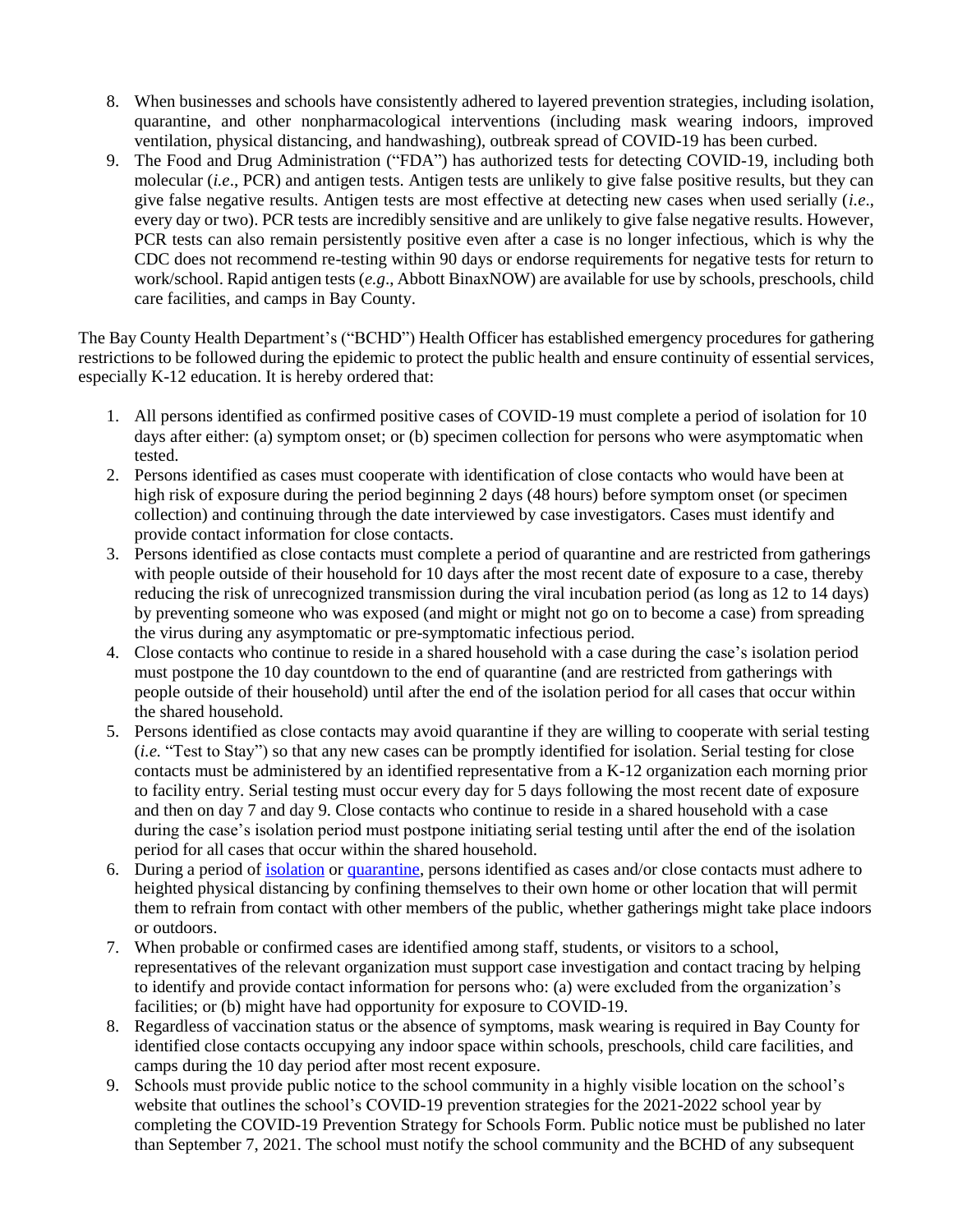- 8. When businesses and schools have consistently adhered to layered prevention strategies, including isolation, quarantine, and other nonpharmacological interventions (including mask wearing indoors, improved ventilation, physical distancing, and handwashing), outbreak spread of COVID-19 has been curbed.
- 9. The Food and Drug Administration ("FDA") has authorized tests for detecting COVID-19, including both molecular (*i.e*., PCR) and antigen tests. Antigen tests are unlikely to give false positive results, but they can give false negative results. Antigen tests are most effective at detecting new cases when used serially (*i.e*., every day or two). PCR tests are incredibly sensitive and are unlikely to give false negative results. However, PCR tests can also remain persistently positive even after a case is no longer infectious, which is why the CDC does not recommend re-testing within 90 days or endorse requirements for negative tests for return to work/school. Rapid antigen tests (*e.g*., Abbott BinaxNOW) are available for use by schools, preschools, child care facilities, and camps in Bay County.

The Bay County Health Department's ("BCHD") Health Officer has established emergency procedures for gathering restrictions to be followed during the epidemic to protect the public health and ensure continuity of essential services, especially K-12 education. It is hereby ordered that:

- 1. All persons identified as confirmed positive cases of COVID-19 must complete a period of isolation for 10 days after either: (a) symptom onset; or (b) specimen collection for persons who were asymptomatic when tested.
- 2. Persons identified as cases must cooperate with identification of close contacts who would have been at high risk of exposure during the period beginning 2 days (48 hours) before symptom onset (or specimen collection) and continuing through the date interviewed by case investigators. Cases must identify and provide contact information for close contacts.
- 3. Persons identified as close contacts must complete a period of quarantine and are restricted from gatherings with people outside of their household for 10 days after the most recent date of exposure to a case, thereby reducing the risk of unrecognized transmission during the viral incubation period (as long as 12 to 14 days) by preventing someone who was exposed (and might or might not go on to become a case) from spreading the virus during any asymptomatic or pre-symptomatic infectious period.
- 4. Close contacts who continue to reside in a shared household with a case during the case's isolation period must postpone the 10 day countdown to the end of quarantine (and are restricted from gatherings with people outside of their household) until after the end of the isolation period for all cases that occur within the shared household.
- 5. Persons identified as close contacts may avoid quarantine if they are willing to cooperate with serial testing (*i.e.* "Test to Stay") so that any new cases can be promptly identified for isolation. Serial testing for close contacts must be administered by an identified representative from a K-12 organization each morning prior to facility entry. Serial testing must occur every day for 5 days following the most recent date of exposure and then on day 7 and day 9. Close contacts who continue to reside in a shared household with a case during the case's isolation period must postpone initiating serial testing until after the end of the isolation period for all cases that occur within the shared household.
- 6. During a period o[f isolation](https://www.cdc.gov/coronavirus/2019-ncov/if-you-are-sick/steps-when-sick.html) or [quarantine,](https://www.cdc.gov/coronavirus/2019-ncov/if-you-are-sick/quarantine.html) persons identified as cases and/or close contacts must adhere to heighted physical distancing by confining themselves to their own home or other location that will permit them to refrain from contact with other members of the public, whether gatherings might take place indoors or outdoors.
- 7. When probable or confirmed cases are identified among staff, students, or visitors to a school, representatives of the relevant organization must support case investigation and contact tracing by helping to identify and provide contact information for persons who: (a) were excluded from the organization's facilities; or (b) might have had opportunity for exposure to COVID-19.
- 8. Regardless of vaccination status or the absence of symptoms, mask wearing is required in Bay County for identified close contacts occupying any indoor space within schools, preschools, child care facilities, and camps during the 10 day period after most recent exposure.
- 9. Schools must provide public notice to the school community in a highly visible location on the school's website that outlines the school's COVID-19 prevention strategies for the 2021-2022 school year by completing the COVID-19 Prevention Strategy for Schools Form. Public notice must be published no later than September 7, 2021. The school must notify the school community and the BCHD of any subsequent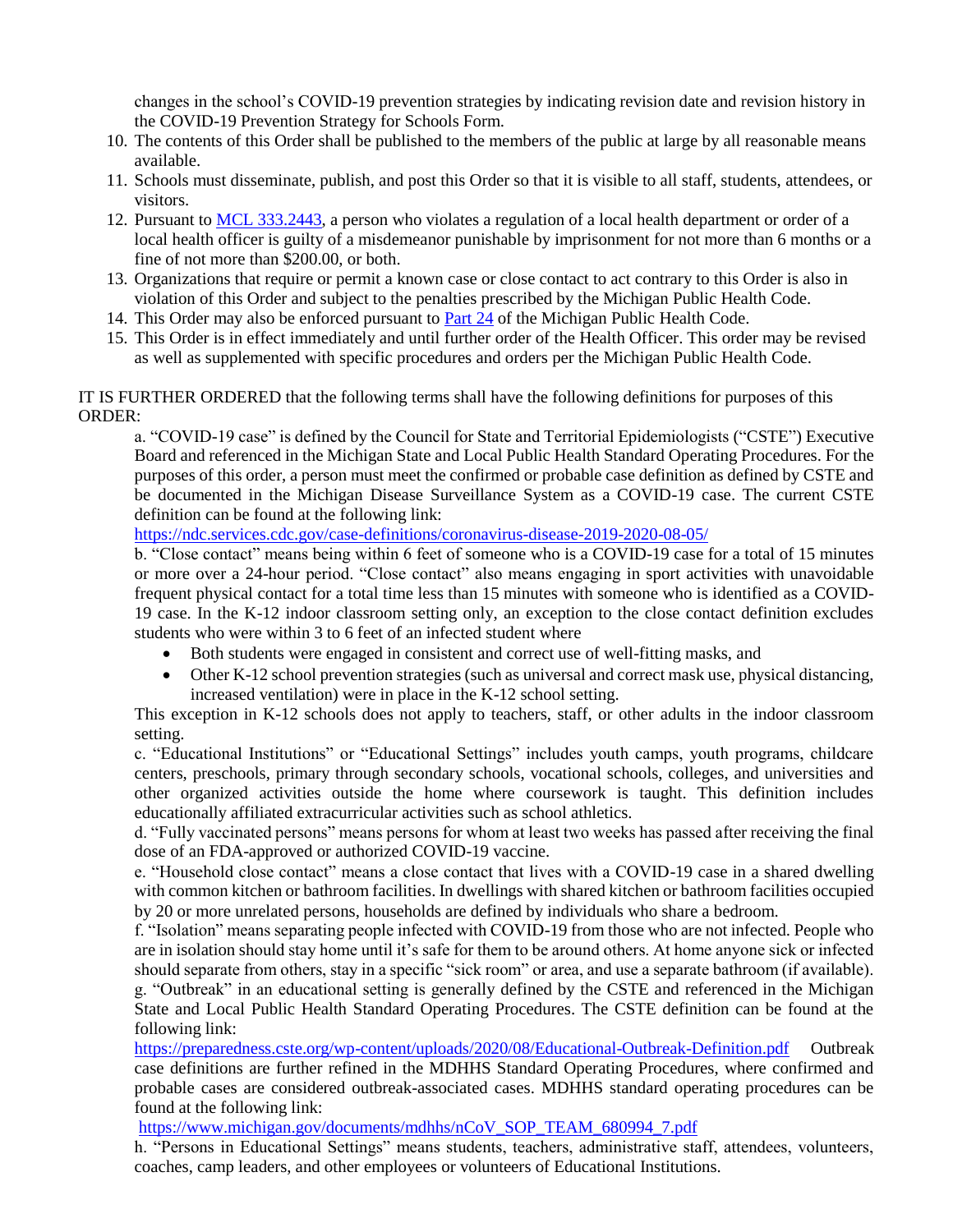changes in the school's COVID-19 prevention strategies by indicating revision date and revision history in the COVID-19 Prevention Strategy for Schools Form.

- 10. The contents of this Order shall be published to the members of the public at large by all reasonable means available.
- 11. Schools must disseminate, publish, and post this Order so that it is visible to all staff, students, attendees, or visitors.
- 12. Pursuant to [MCL 333.2443,](http://www.legislature.mi.gov/(S(bolddtfeawdrg1r4gkus23gt))/mileg.aspx?page=GetObject&objectname=mcl-333-2443) a person who violates a regulation of a local health department or order of a local health officer is guilty of a misdemeanor punishable by imprisonment for not more than 6 months or a fine of not more than \$200.00, or both.
- 13. Organizations that require or permit a known case or close contact to act contrary to this Order is also in violation of this Order and subject to the penalties prescribed by the Michigan Public Health Code.
- 14. This Order may also be enforced pursuant to [Part 24](https://www.legislature.mi.gov/(S(rgyogs55ebl3xbi3zayqtw55))/documents/mcl/pdf/mcl-368-1978-2-24.pdf) of the Michigan Public Health Code.
- 15. This Order is in effect immediately and until further order of the Health Officer. This order may be revised as well as supplemented with specific procedures and orders per the Michigan Public Health Code.

## IT IS FURTHER ORDERED that the following terms shall have the following definitions for purposes of this ORDER:

a. "COVID-19 case" is defined by the Council for State and Territorial Epidemiologists ("CSTE") Executive Board and referenced in the Michigan State and Local Public Health Standard Operating Procedures. For the purposes of this order, a person must meet the confirmed or probable case definition as defined by CSTE and be documented in the Michigan Disease Surveillance System as a COVID-19 case. The current CSTE definition can be found at the following link:

<https://ndc.services.cdc.gov/case-definitions/coronavirus-disease-2019-2020-08-05/>

b. "Close contact" means being within 6 feet of someone who is a COVID-19 case for a total of 15 minutes or more over a 24-hour period. "Close contact" also means engaging in sport activities with unavoidable frequent physical contact for a total time less than 15 minutes with someone who is identified as a COVID-19 case. In the K-12 indoor classroom setting only, an exception to the close contact definition excludes students who were within 3 to 6 feet of an infected student where

- Both students were engaged in consistent and correct use of well-fitting masks, and
- Other K-12 school prevention strategies (such as universal and correct mask use, physical distancing, increased ventilation) were in place in the K-12 school setting.

This exception in K-12 schools does not apply to teachers, staff, or other adults in the indoor classroom setting.

c. "Educational Institutions" or "Educational Settings" includes youth camps, youth programs, childcare centers, preschools, primary through secondary schools, vocational schools, colleges, and universities and other organized activities outside the home where coursework is taught. This definition includes educationally affiliated extracurricular activities such as school athletics.

d. "Fully vaccinated persons" means persons for whom at least two weeks has passed after receiving the final dose of an FDA-approved or authorized COVID-19 vaccine.

e. "Household close contact" means a close contact that lives with a COVID-19 case in a shared dwelling with common kitchen or bathroom facilities. In dwellings with shared kitchen or bathroom facilities occupied by 20 or more unrelated persons, households are defined by individuals who share a bedroom.

f. "Isolation" means separating people infected with COVID-19 from those who are not infected. People who are in isolation should stay home until it's safe for them to be around others. At home anyone sick or infected should separate from others, stay in a specific "sick room" or area, and use a separate bathroom (if available). g. "Outbreak" in an educational setting is generally defined by the CSTE and referenced in the Michigan State and Local Public Health Standard Operating Procedures. The CSTE definition can be found at the following link:

<https://preparedness.cste.org/wp-content/uploads/2020/08/Educational-Outbreak-Definition.pdf>Outbreak case definitions are further refined in the MDHHS Standard Operating Procedures, where confirmed and probable cases are considered outbreak-associated cases. MDHHS standard operating procedures can be found at the following link:

[https://www.michigan.gov/documents/mdhhs/nCoV\\_SOP\\_TEAM\\_680994\\_7.pdf](https://www.michigan.gov/documents/mdhhs/nCoV_SOP_TEAM_680994_7.pdf) 

h. "Persons in Educational Settings" means students, teachers, administrative staff, attendees, volunteers, coaches, camp leaders, and other employees or volunteers of Educational Institutions.